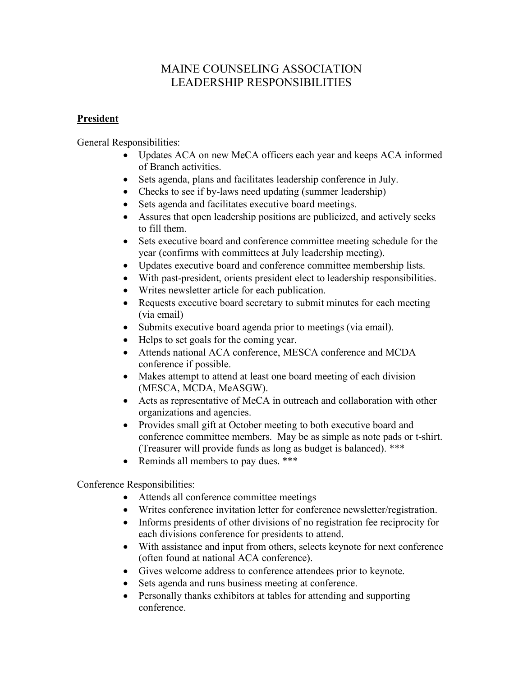## MAINE COUNSELING ASSOCIATION LEADERSHIP RESPONSIBILITIES

## **President**

General Responsibilities:

- Updates ACA on new MeCA officers each year and keeps ACA informed of Branch activities.
- Sets agenda, plans and facilitates leadership conference in July.
- Checks to see if by-laws need updating (summer leadership)
- Sets agenda and facilitates executive board meetings.
- Assures that open leadership positions are publicized, and actively seeks to fill them.
- Sets executive board and conference committee meeting schedule for the year (confirms with committees at July leadership meeting).
- Updates executive board and conference committee membership lists.
- With past-president, orients president elect to leadership responsibilities.
- Writes newsletter article for each publication.
- Requests executive board secretary to submit minutes for each meeting (via email)
- Submits executive board agenda prior to meetings (via email).
- Helps to set goals for the coming year.
- Attends national ACA conference, MESCA conference and MCDA conference if possible.
- Makes attempt to attend at least one board meeting of each division (MESCA, MCDA, MeASGW).
- Acts as representative of MeCA in outreach and collaboration with other organizations and agencies.
- Provides small gift at October meeting to both executive board and conference committee members. May be as simple as note pads or t-shirt. (Treasurer will provide funds as long as budget is balanced). \*\*\*
- Reminds all members to pay dues. \*\*\*

Conference Responsibilities:

- Attends all conference committee meetings
- Writes conference invitation letter for conference newsletter/registration.
- Informs presidents of other divisions of no registration fee reciprocity for each divisions conference for presidents to attend.
- With assistance and input from others, selects keynote for next conference (often found at national ACA conference).
- Gives welcome address to conference attendees prior to keynote.
- Sets agenda and runs business meeting at conference.
- Personally thanks exhibitors at tables for attending and supporting conference.